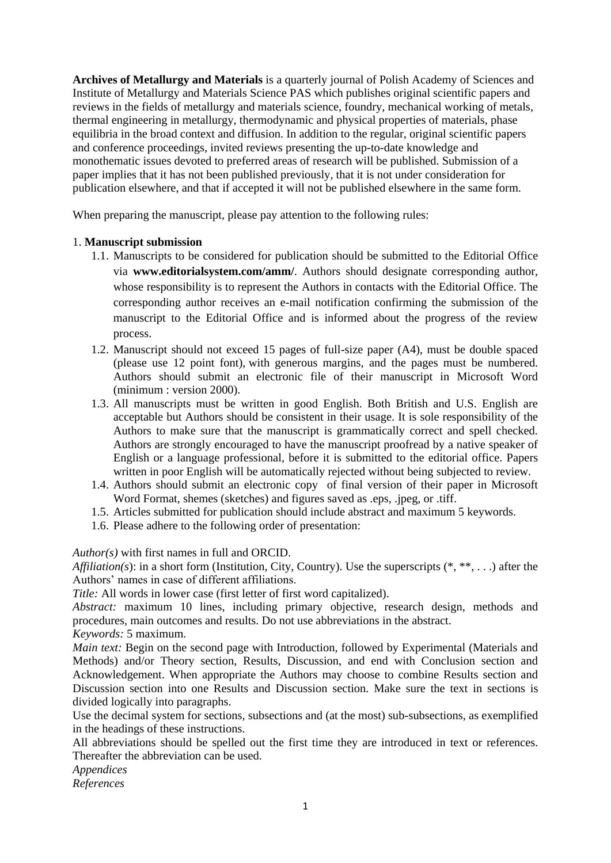**Archives of Metallurgy and Materials** is a quarterly journal of Polish Academy of Sciences and Institute of Metallurgy and Materials Science PAS which publishes original scientific papers and reviews in the fields of metallurgy and materials science, foundry, mechanical working of metals, thermal engineering in metallurgy, thermodynamic and physical properties of materials, phase equilibria in the broad context and diffusion. In addition to the regular, original scientific papers and conference proceedings, invited reviews presenting the up-to-date knowledge and monothematic issues devoted to preferred areas of research will be published. Submission of a paper implies that it has not been published previously, that it is not under consideration for publication elsewhere, and that if accepted it will not be published elsewhere in the same form.

When preparing the manuscript, please pay attention to the following rules:

# 1. **Manuscript submission**

- 1.1. Manuscripts to be considered for publication should be submitted to the Editorial Office via **www.editorialsystem.com/amm/**. Authors should designate corresponding author, whose responsibility is to represent the Authors in contacts with the Editorial Office. The corresponding author receives an e-mail notification confirming the submission of the manuscript to the Editorial Office and is informed about the progress of the review process.
- 1.2. Manuscript should not exceed 15 pages of full-size paper (A4), must be double spaced (please use 12 point font), with generous margins, and the pages must be numbered. Authors should submit an electronic file of their manuscript in Microsoft Word (minimum : version 2000).
- 1.3. All manuscripts must be written in good English. Both British and U.S. English are acceptable but Authors should be consistent in their usage. It is sole responsibility of the Authors to make sure that the manuscript is grammatically correct and spell checked. Authors are strongly encouraged to have the manuscript proofread by a native speaker of English or a language professional, before it is submitted to the editorial office. Papers written in poor English will be automatically rejected without being subjected to review.
- 1.4. Authors should submit an electronic copy of final version of their paper in Microsoft Word Format, shemes (sketches) and figures saved as .eps, .jpeg, or .tiff.
- 1.5. Articles submitted for publication should include abstract and maximum 5 keywords.
- 1.6. Please adhere to the following order of presentation:

*Author(s)* with first names in full and ORCID.

*Affiliation(s)*: in a short form (Institution, City, Country). Use the superscripts (\*, \*\*, ...) after the Authors' names in case of different affiliations.

*Title:* All words in lower case (first letter of first word capitalized).

*Abstract:* maximum 10 lines, including primary objective, research design, methods and procedures, main outcomes and results. Do not use abbreviations in the abstract.

*Keywords:* 5 maximum.

*Main text:* Begin on the second page with Introduction, followed by Experimental (Materials and Methods) and/or Theory section, Results, Discussion, and end with Conclusion section and Acknowledgement. When appropriate the Authors may choose to combine Results section and Discussion section into one Results and Discussion section. Make sure the text in sections is divided logically into paragraphs.

Use the decimal system for sections, subsections and (at the most) sub-subsections, as exemplified in the headings of these instructions.

All abbreviations should be spelled out the first time they are introduced in text or references. Thereafter the abbreviation can be used.

*Appendices References*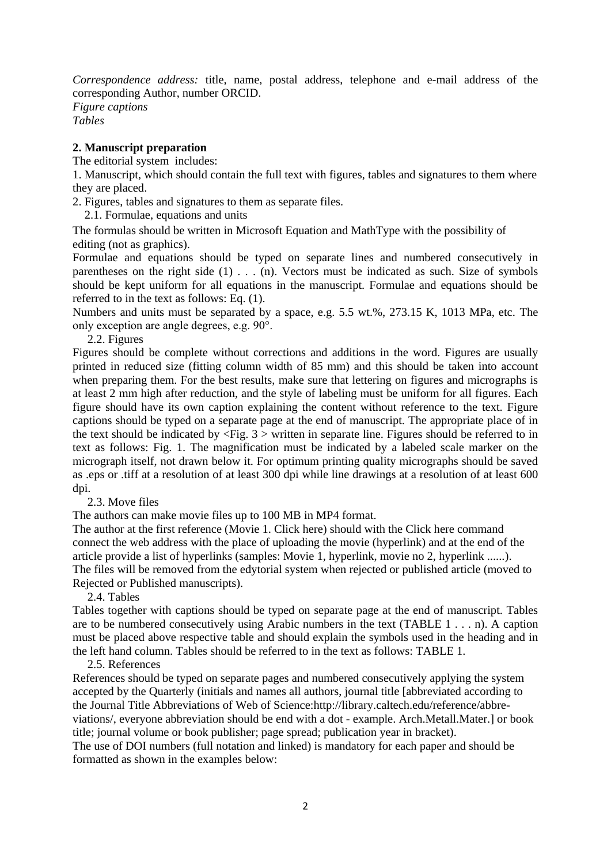*Correspondence address:* title, name, postal address, telephone and e-mail address of the corresponding Author, number ORCID.

*Figure captions Tables*

## **2. Manuscript preparation**

The editorial system includes:

1. Manuscript, which should contain the full text with figures, tables and signatures to them where they are placed.

2. Figures, tables and signatures to them as separate files.

2.1. Formulae, equations and units

The formulas should be written in Microsoft Equation and MathType with the possibility of editing (not as graphics).

Formulae and equations should be typed on separate lines and numbered consecutively in parentheses on the right side (1) . . . (n). Vectors must be indicated as such. Size of symbols should be kept uniform for all equations in the manuscript. Formulae and equations should be referred to in the text as follows: Eq. (1).

Numbers and units must be separated by a space, e.g. 5.5 wt.%, 273.15 K, 1013 MPa, etc. The only exception are angle degrees, e.g. 90°.

### 2.2. Figures

Figures should be complete without corrections and additions in the word. Figures are usually printed in reduced size (fitting column width of 85 mm) and this should be taken into account when preparing them. For the best results, make sure that lettering on figures and micrographs is at least 2 mm high after reduction, and the style of labeling must be uniform for all figures. Each figure should have its own caption explaining the content without reference to the text. Figure captions should be typed on a separate page at the end of manuscript. The appropriate place of in the text should be indicated by  $\langle$ Fig. 3  $\rangle$  written in separate line. Figures should be referred to in text as follows: Fig. 1. The magnification must be indicated by a labeled scale marker on the micrograph itself, not drawn below it. For optimum printing quality micrographs should be saved as .eps or .tiff at a resolution of at least 300 dpi while line drawings at a resolution of at least 600 dpi.

## 2.3. Move files

The authors can make movie files up to 100 MB in MP4 format.

The author at the first reference (Movie 1. Click here) should with the Click here command connect the web address with the place of uploading the movie (hyperlink) and at the end of the article provide a list of hyperlinks (samples: Movie 1, hyperlink, movie no 2, hyperlink ......). The files will be removed from the edytorial system when rejected or published article (moved to Rejected or Published manuscripts).

2.4. Tables

Tables together with captions should be typed on separate page at the end of manuscript. Tables are to be numbered consecutively using Arabic numbers in the text (TABLE 1 . . . n). A caption must be placed above respective table and should explain the symbols used in the heading and in the left hand column. Tables should be referred to in the text as follows: TABLE 1.

#### 2.5. References

References should be typed on separate pages and numbered consecutively applying the system accepted by the Quarterly (initials and names all authors, journal title [abbreviated according to the Journal Title Abbreviations of Web of Science:http://library.caltech.edu/reference/abbreviations/, everyone abbreviation should be end with a dot - example. Arch.Metall.Mater.] or book title; journal volume or book publisher; page spread; publication year in bracket).

The use of DOI numbers (full notation and linked) is mandatory for each paper and should be formatted as shown in the examples below: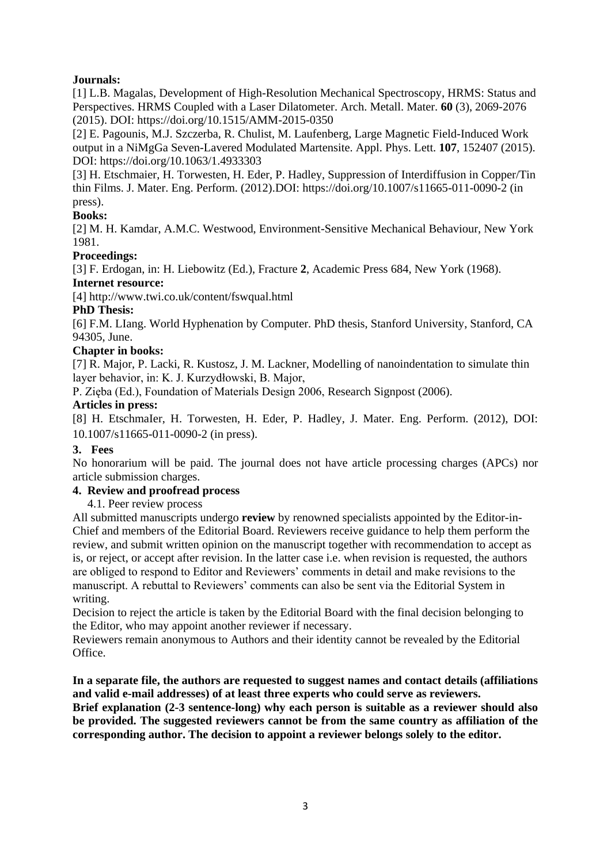# **Journals:**

[1] L.B. Magalas, Development of High-Resolution Mechanical Spectroscopy, HRMS: Status and Perspectives. HRMS Coupled with a Laser Dilatometer. Arch. Metall. Mater. **60** (3), 2069-2076 (2015). DOI: https://doi.org/10.1515/AMM-2015-0350

[2] E. Pagounis, M.J. Szczerba, R. Chulist, M. Laufenberg, Large Magnetic Field-Induced Work output in a NiMgGa Seven-Lavered Modulated Martensite. Appl. Phys. Lett. **107**, 152407 (2015). DOI: https://doi.org/10.1063/1.4933303

[3] H. Etschmaier, H. Torwesten, H. Eder, P. Hadley, Suppression of Interdiffusion in Copper/Tin thin Films. J. Mater. Eng. Perform. (2012).DOI: https://doi.org/10.1007/s11665-011-0090-2 (in press).

# **Books:**

[2] M. H. Kamdar, A.M.C. Westwood, Environment-Sensitive Mechanical Behaviour, New York 1981.

# **Proceedings:**

[3] F. Erdogan, in: H. Liebowitz (Ed.), Fracture **2**, Academic Press 684, New York (1968). **Internet resource:**

[4] http://www.twi.co.uk/content/fswqual.html

## **PhD Thesis:**

[6] F.M. LIang. World Hyphenation by Computer. PhD thesis, Stanford University, Stanford, CA 94305, June.

## **Chapter in books:**

[7] R. Major, P. Lacki, R. Kustosz, J. M. Lackner, Modelling of nanoindentation to simulate thin layer behavior, in: K. J. Kurzydłowski, B. Major,

P. Zięba (Ed.), Foundation of Materials Design 2006, Research Signpost (2006).

## **Articles in press:**

[8] H. EtschmaIer, H. Torwesten, H. Eder, P. Hadley, J. Mater. Eng. Perform. (2012), DOI: 10.1007/s11665-011-0090-2 (in press).

## **3. Fees**

No honorarium will be paid. The journal does not have article processing charges (APCs) nor article submission charges.

#### **4. Review and proofread process**

4.1. Peer review process

All submitted manuscripts undergo **review** by renowned specialists appointed by the Editor-in-Chief and members of the Editorial Board. Reviewers receive guidance to help them perform the review, and submit written opinion on the manuscript together with recommendation to accept as is, or reject, or accept after revision. In the latter case i.e. when revision is requested, the authors are obliged to respond to Editor and Reviewers' comments in detail and make revisions to the manuscript. A rebuttal to Reviewers' comments can also be sent via the Editorial System in writing.

Decision to reject the article is taken by the Editorial Board with the final decision belonging to the Editor, who may appoint another reviewer if necessary.

Reviewers remain anonymous to Authors and their identity cannot be revealed by the Editorial Office.

### **In a separate file, the authors are requested to suggest names and contact details (affiliations and valid e-mail addresses) of at least three experts who could serve as reviewers.**

**Brief explanation (2-3 sentence-long) why each person is suitable as a reviewer should also be provided. The suggested reviewers cannot be from the same country as affiliation of the corresponding author. The decision to appoint a reviewer belongs solely to the editor.**